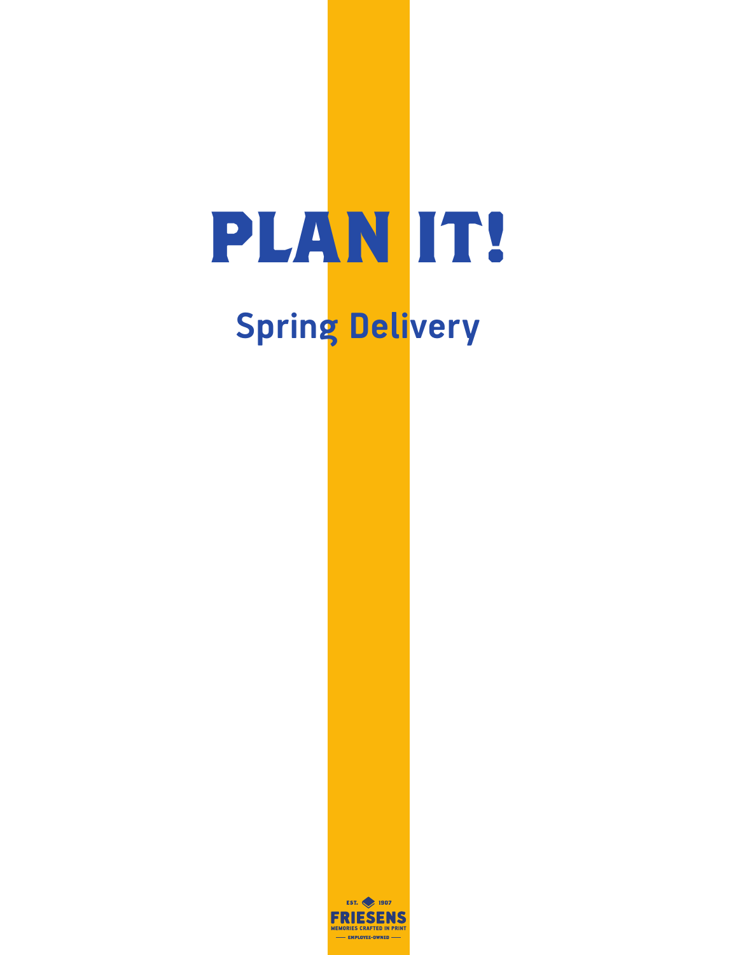## **PLAN IT! Spring Delivery**

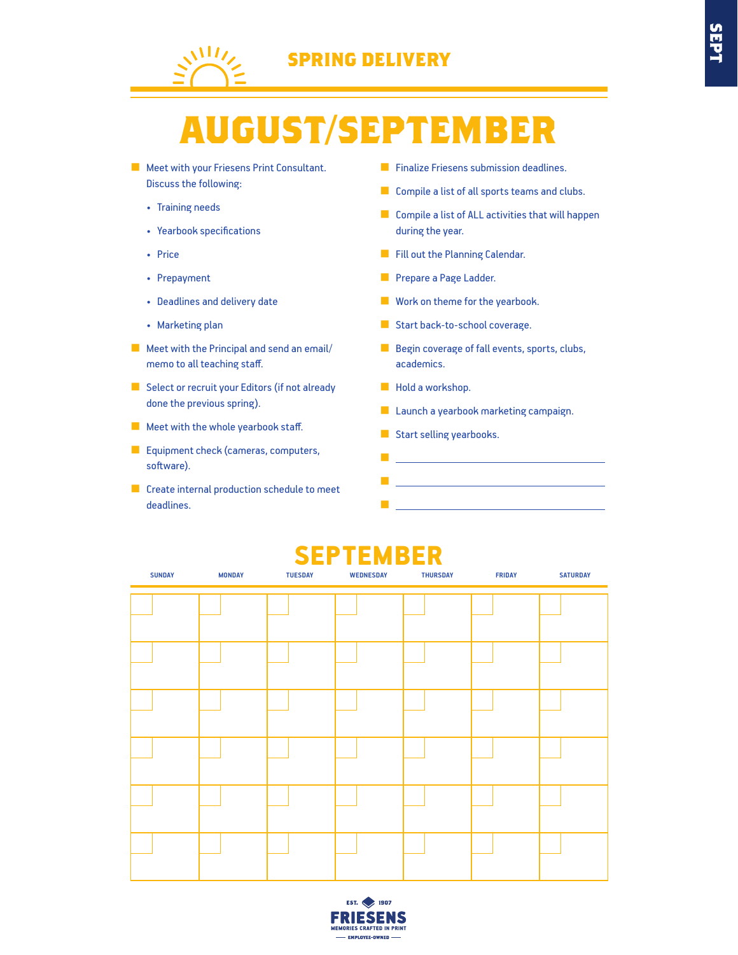

## **SEPT**

## **AUGUST/SEPTEMBER**

- Meet with your Friesens Print Consultant. Discuss the following:
	- Training needs
	- Yearbook specifications
	- Price
	- Prepayment
	- Deadlines and delivery date
	- Marketing plan
- Meet with the Principal and send an email/ memo to all teaching staff.
- Select or recruit your Editors (if not already done the previous spring).
- Meet with the whole yearbook staff.
- Equipment check (cameras, computers, software).
- Create internal production schedule to meet deadlines.
- Finalize Friesens submission deadlines.
- Compile a list of all sports teams and clubs.
- Compile a list of ALL activities that will happen during the year.
- Fill out the Planning Calendar.
- Prepare a Page Ladder.
- Work on theme for the yearbook.
- Start back-to-school coverage.
- Begin coverage of fall events, sports, clubs, academics.
- Hold a workshop.
- Launch a yearbook marketing campaign.
- Start selling yearbooks.
- **Windows Street Street Street** ■ ■

#### $$

| <b>SUNDAY</b> | <b>MONDAY</b> | <b>TUESDAY</b> | <b>WEDNESDAY</b> | <b>THURSDAY</b> | <b>FRIDAY</b> | <b>SATURDAY</b> |
|---------------|---------------|----------------|------------------|-----------------|---------------|-----------------|
|               |               |                |                  |                 |               |                 |
|               |               |                |                  |                 |               |                 |
|               |               |                |                  |                 |               |                 |
|               |               |                |                  |                 |               |                 |
|               |               |                |                  |                 |               |                 |
|               |               |                |                  |                 |               |                 |
|               |               |                |                  |                 |               |                 |
|               |               |                |                  |                 |               |                 |
|               |               |                |                  |                 |               |                 |
|               |               |                |                  |                 |               |                 |
|               |               |                |                  |                 |               |                 |
|               |               |                |                  |                 |               |                 |

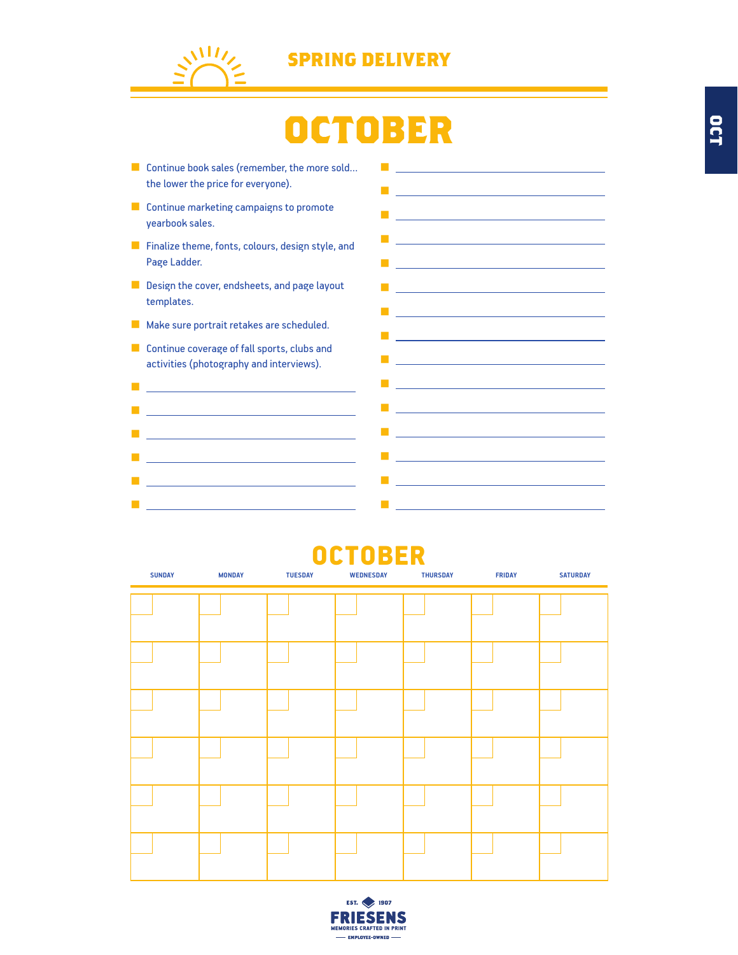

## **OCTOBER**

**■ Windows Street Street Street Street** ■ <u>コンパ</u>ランス インタ

■

■ <u>Construction of the Construction</u>

■ Professional District District District District District

■ <u>Control</u> in the Control

- Continue book sales (remember, the more sold... the lower the price for everyone). ■ ■ Professional Control of Control Control of Control Control of Control Control of Control of Control of Control of Control of Control of Control of Control of Control of Control of Control of Control of Control of Contro
- Continue marketing campaigns to promote yearbook sales.
- Finalize theme, fonts, colours, design style, and Page Ladder.
- Design the cover, endsheets, and page layout templates.
- Make sure portrait retakes are scheduled.
- Continue coverage of fall sports, clubs and activities (photography and interviews).



#### OCTOBER **SUNDAY MONDAY TUESDAY WEDNESDAY THURSDAY FRIDAY SATURDAY**

| <b>SUNDAY</b> | <b>MONDAY</b> | <b>TUESDAY</b> | <b>WEDNESDAY</b> | <b>THURSDAY</b> | <b>FRIDAY</b> | <b>SATURDAY</b> |
|---------------|---------------|----------------|------------------|-----------------|---------------|-----------------|
|               |               |                |                  |                 |               |                 |
|               |               |                |                  |                 |               |                 |
|               |               |                |                  |                 |               |                 |
|               |               |                |                  |                 |               |                 |
|               |               |                |                  |                 |               |                 |
|               |               |                |                  |                 |               |                 |
|               |               |                |                  |                 |               |                 |
|               |               |                |                  |                 |               |                 |
|               |               |                |                  |                 |               |                 |
|               |               |                |                  |                 |               |                 |
|               |               |                |                  |                 |               |                 |
|               |               |                |                  |                 |               |                 |

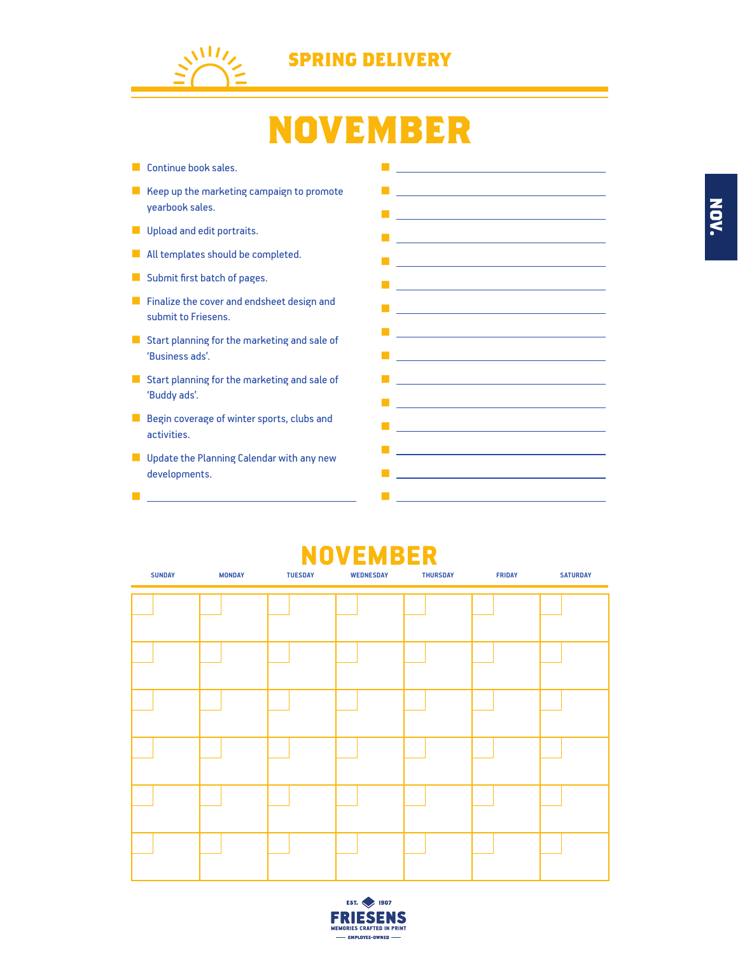

## **NOVEMBER**

- Continue book sales.
- Keep up the marketing campaign to promote yearbook sales.
- Upload and edit portraits.
- All templates should be completed.
- Submit first batch of pages.
- Finalize the cover and endsheet design and submit to Friesens.
- Start planning for the marketing and sale of 'Business ads'.
- Start planning for the marketing and sale of 'Buddy ads'.
- Begin coverage of winter sports, clubs and activities.
- Update the Planning Calendar with any new developments.

■ <u>Liver</u> in the most



#### NOVEMBER **SUNDAY MONDAY TUESDAY WEDNESDAY THURSDAY FRIDAY SATURDAY**

| <b>SUNDAY</b> | <b>MONDAY</b> | <b>TUESDAY</b> | <b>WEDNESDAY</b> | <b>THURSDAY</b> | <b>FRIDAY</b> | <b>SATURDAY</b> |
|---------------|---------------|----------------|------------------|-----------------|---------------|-----------------|
|               |               |                |                  |                 |               |                 |
|               |               |                |                  |                 |               |                 |
|               |               |                |                  |                 |               |                 |
|               |               |                |                  |                 |               |                 |
|               |               |                |                  |                 |               |                 |
|               |               |                |                  |                 |               |                 |
|               |               |                |                  |                 |               |                 |
|               |               |                |                  |                 |               |                 |
|               |               |                |                  |                 |               |                 |
|               |               |                |                  |                 |               |                 |
|               |               |                |                  |                 |               |                 |
|               |               |                |                  |                 |               |                 |

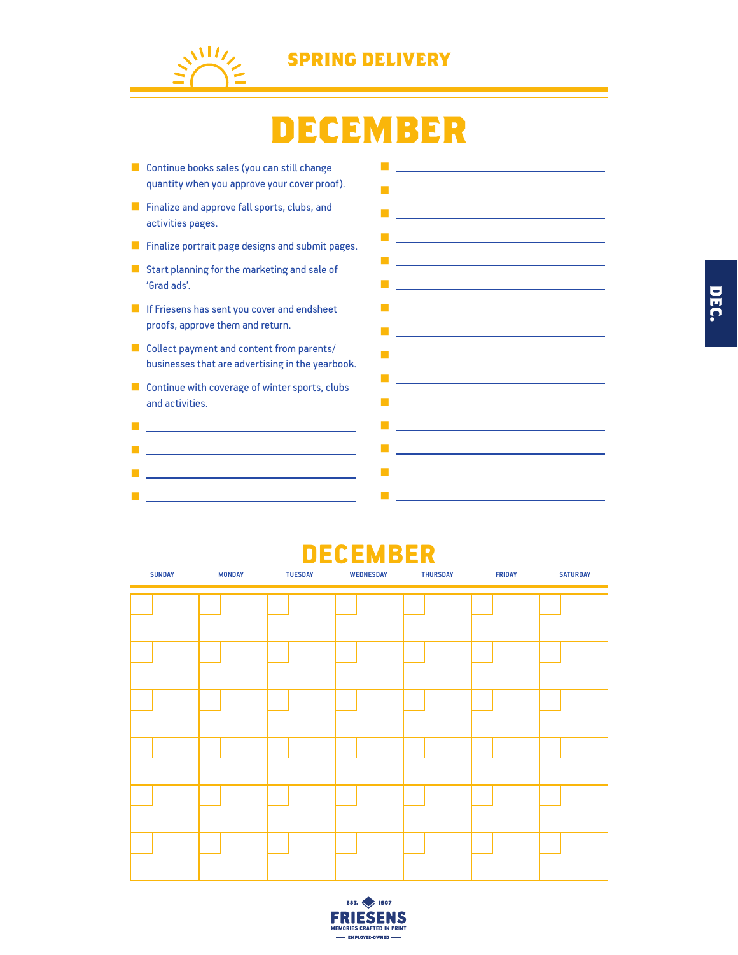

### **DECEMBER**

■ Continue books sales (you can still change quantity when you approve your cover proof). ■ Finalize and approve fall sports, clubs, and activities pages. ■ Finalize portrait page designs and submit pages. ■ Start planning for the marketing and sale of 'Grad ads'. ■ If Friesens has sent you cover and endsheet proofs, approve them and return. ■ Collect payment and content from parents/ businesses that are advertising in the yearbook. ■ Continue with coverage of winter sports, clubs and activities. ■ Professional Control of Control Control of **■ All Contracts and All Contracts** ■ Professional Control of Control Control of Control Control of Control Control of Control of Control of Control of ■ Professional Control of Control Control of ■ ■ Professional Control of Control Control of Control Control of Control Control of Control of Control of Control of Control of Control of Control of Control of Control of Control of Control of Control of Control of Contro ■ <u>Contract</u> in the contract of **■ Product Service Service** ■ <u>Controller</u> in the control of the <u>■ production and product</u> ■ Professional Control of Control Control of Control Control of Control Control of Control of Control of Control of ■ Professional Control of Control Control of Control Control of Control Control of ■ <u>product to the control of the control</u> ■ <u>Controller</u> in the control of the ■ <u>Construction of the Construction</u> ■ production of the control of the control of the control of the control of the control of the control of the control of the control of the control of the control of the control of the control of the control of the contr ■ Professional Control of Control Control of Control Control of Control Control of Control of Control of Control of ■ ■ <u>Controller Controller</u> (Controller Controller)

#### DECEMBER

| <b>SUNDAY</b> | <b>MONDAY</b> | <b>TUESDAY</b> | <b>WEDNESDAY</b> | <b>THURSDAY</b> | <b>FRIDAY</b> | <b>SATURDAY</b> |
|---------------|---------------|----------------|------------------|-----------------|---------------|-----------------|
|               |               |                |                  |                 |               |                 |
|               |               |                |                  |                 |               |                 |
|               |               |                |                  |                 |               |                 |
|               |               |                |                  |                 |               |                 |
|               |               |                |                  |                 |               |                 |
|               |               |                |                  |                 |               |                 |
|               |               |                |                  |                 |               |                 |
|               |               |                |                  |                 |               |                 |
|               |               |                |                  |                 |               |                 |
|               |               |                |                  |                 |               |                 |
|               |               |                |                  |                 |               |                 |
|               |               |                |                  |                 |               |                 |
|               |               |                |                  |                 |               |                 |

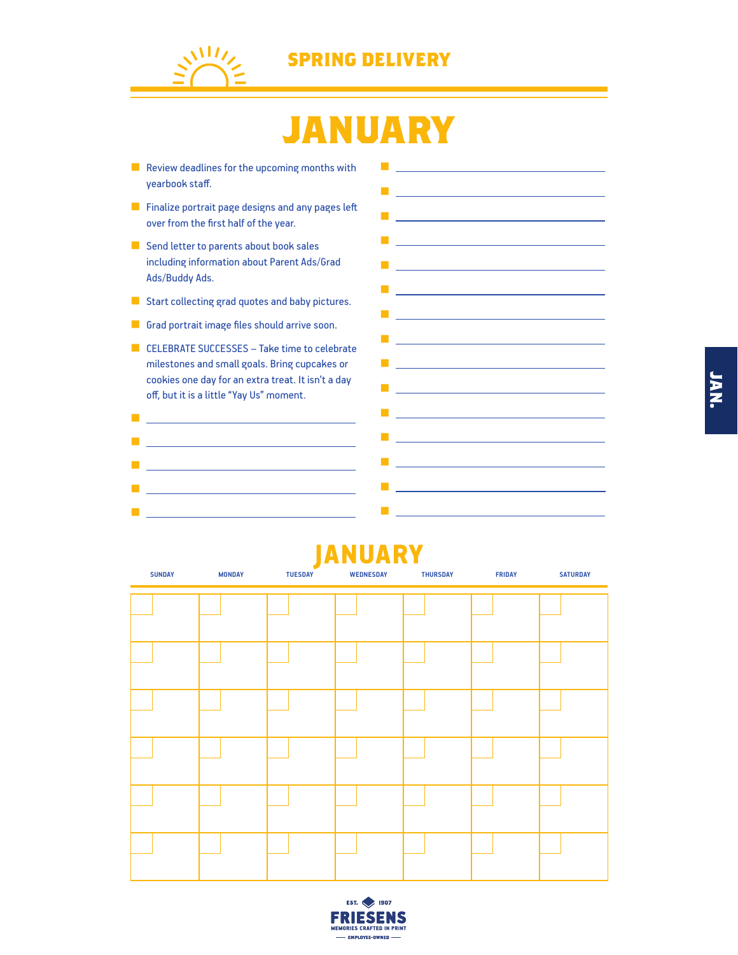

## **JANUARY**

- Review deadlines for the upcoming months with yearbook staff.
- Finalize portrait page designs and any pages left over from the first half of the year.
- Send letter to parents about book sales including information about Parent Ads/Grad Ads/Buddy Ads.
- Start collecting grad quotes and baby pictures.
- Grad portrait image files should arrive soon.
- CELEBRATE SUCCESSES Take time to celebrate milestones and small goals. Bring cupcakes or cookies one day for an extra treat. It isn't a day off, but it is a little "Yay Us" moment.
- ■ Professional Control of Control Control of Control Control of Control Control of Control of Control On Control of Control of Control of Control of Control of Control of Control of Control of Control of Control of Contro ■ <u>Contract Contract Contract Contract</u> ■ <u>product to the control of the control</u> ■ <sub>【</sub> 】 【 】 】 【 】 】 【 】 】 【 】 】 【 】 】 【 】 】 【 】 】 【 】



#### JANUARY

| <b>SUNDAY</b> | <b>MONDAY</b> | $\sim$<br><b>TUESDAY</b> | <b>WEDNESDAY</b> | <b>THURSDAY</b> | <b>FRIDAY</b> | <b>SATURDAY</b> |
|---------------|---------------|--------------------------|------------------|-----------------|---------------|-----------------|
|               |               |                          |                  |                 |               |                 |
|               |               |                          |                  |                 |               |                 |
|               |               |                          |                  |                 |               |                 |
|               |               |                          |                  |                 |               |                 |
|               |               |                          |                  |                 |               |                 |
|               |               |                          |                  |                 |               |                 |
|               |               |                          |                  |                 |               |                 |
|               |               |                          |                  |                 |               |                 |
|               |               |                          |                  |                 |               |                 |
|               |               |                          |                  |                 |               |                 |
|               |               |                          |                  |                 |               |                 |
|               |               |                          |                  |                 |               |                 |

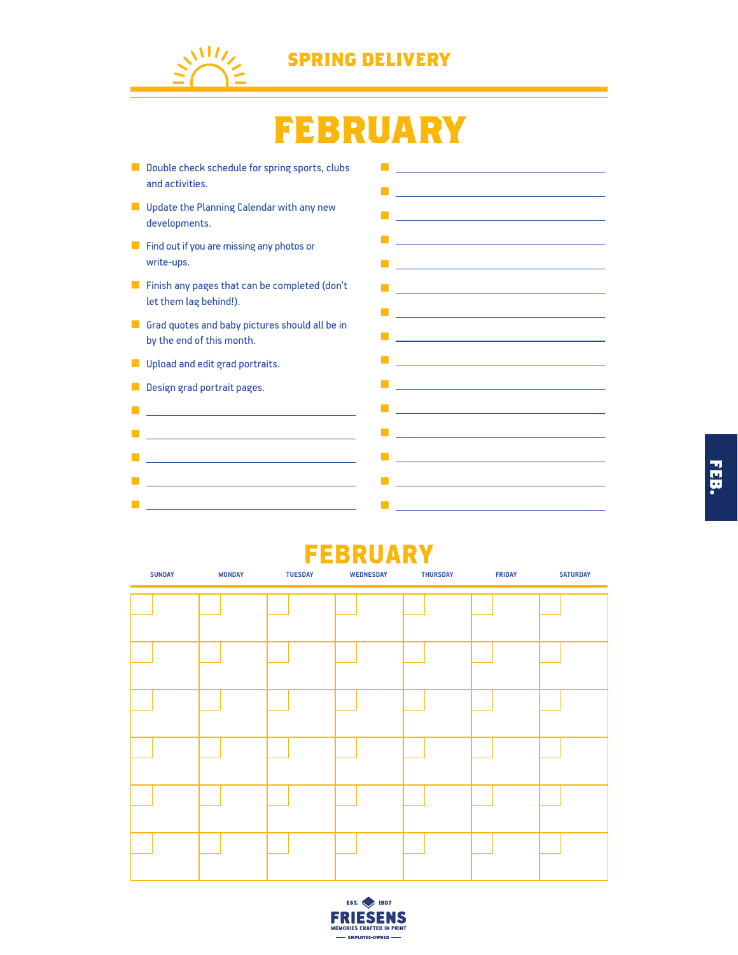

■

■ Weblatt State State State State State State ■ Professional Control of Control Control of Control Control of Control Control of ■ <u>Construction of the Construction</u>

#### **SPRING DELIVERY**

## **FEBRUARY**

■ Double check schedule for spring sports, clubs and activities. ■ Update the Planning Calendar with any new developments. ■ Find out if you are missing any photos or write-ups. ■ Finish any pages that can be completed (don't let them lag behind!). ■ Grad quotes and baby pictures should all be in by the end of this month. **■** Upload and edit grad portraits. ■ Design grad portrait pages. ■ Local Control of Control Control of Control Control of Control Control of Control Of ■ Professional District District District District District ■ Windows 2000 Professional Control of the ■ Professional District District District District District District District District District District District ■ <sub>Bar</sub>ator in the most of the ■ Louis Communication in the Communication ■ <u>Contract Contract Contract</u> ■ Professional Control of Control Control of Control Control of Control Control of Control of Control of Control of Control of Control of Control of Control of Control of Control of Control of Control of Control of Contro ■ <u>production and the control of</u> the control of the control of the control of the control of the control of the ■ <u>product to the control of the control of</u> ■ <u>product to the control of</u> the control of the control of the control of the control of ■

#### **FEBRUARY**

■ <u>Contract Contract</u> Contract Contract Contract

■ <u>product</u> to the control of the control of the ■ Professional Control of Control Control of

■ <u>Constitution of the Constitution</u>

| <b>SUNDAY</b> | <b>MONDAY</b> | <b>TUESDAY</b> | <b>WEDNESDAY</b> | <b>THURSDAY</b> | <b>FRIDAY</b> | <b>SATURDAY</b> |
|---------------|---------------|----------------|------------------|-----------------|---------------|-----------------|
|               |               |                |                  |                 |               |                 |
|               |               |                |                  |                 |               |                 |
|               |               |                |                  |                 |               |                 |
|               |               |                |                  |                 |               |                 |
|               |               |                |                  |                 |               |                 |
|               |               |                |                  |                 |               |                 |
|               |               |                |                  |                 |               |                 |
|               |               |                |                  |                 |               |                 |
|               |               |                |                  |                 |               |                 |
|               |               |                |                  |                 |               |                 |
|               |               |                |                  |                 |               |                 |
|               |               |                |                  |                 |               |                 |

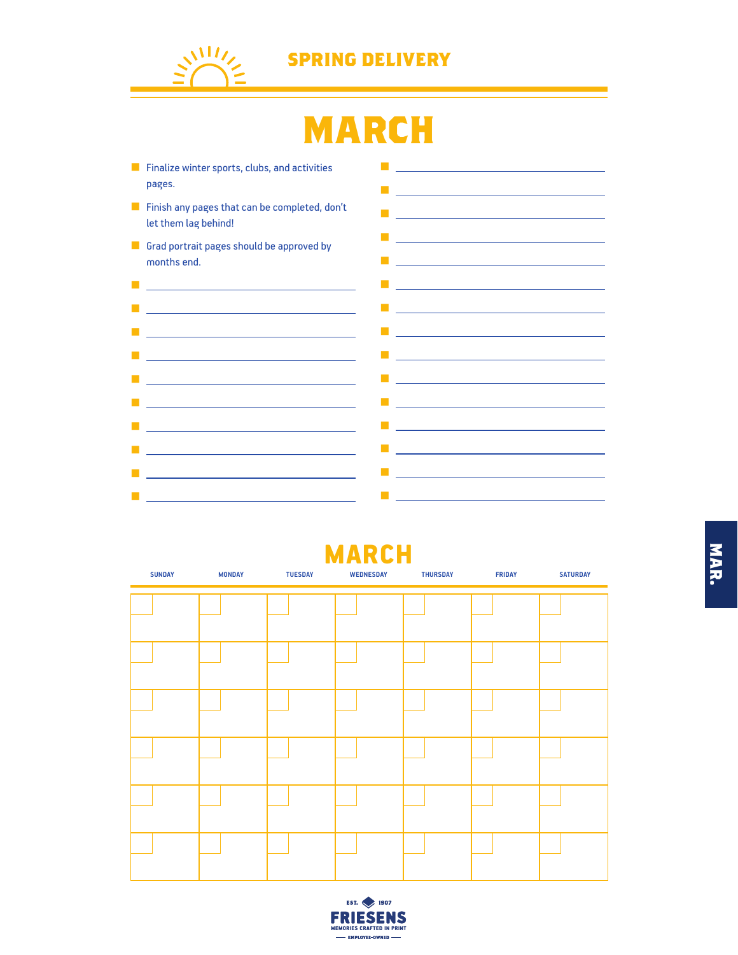

## **MARCH**



#### MARCH

| <b>SUNDAY</b> | <b>MONDAY</b> | <b>TUESDAY</b> | <b>WEDNESDAY</b> | <b>THURSDAY</b> | <b>FRIDAY</b> | <b>SATURDAY</b> |
|---------------|---------------|----------------|------------------|-----------------|---------------|-----------------|
|               |               |                |                  |                 |               |                 |
|               |               |                |                  |                 |               |                 |
|               |               |                |                  |                 |               |                 |
|               |               |                |                  |                 |               |                 |
|               |               |                |                  |                 |               |                 |
|               |               |                |                  |                 |               |                 |
|               |               |                |                  |                 |               |                 |
|               |               |                |                  |                 |               |                 |
|               |               |                |                  |                 |               |                 |
|               |               |                |                  |                 |               |                 |
|               |               |                |                  |                 |               |                 |
|               |               |                |                  |                 |               |                 |



**MAR.** 

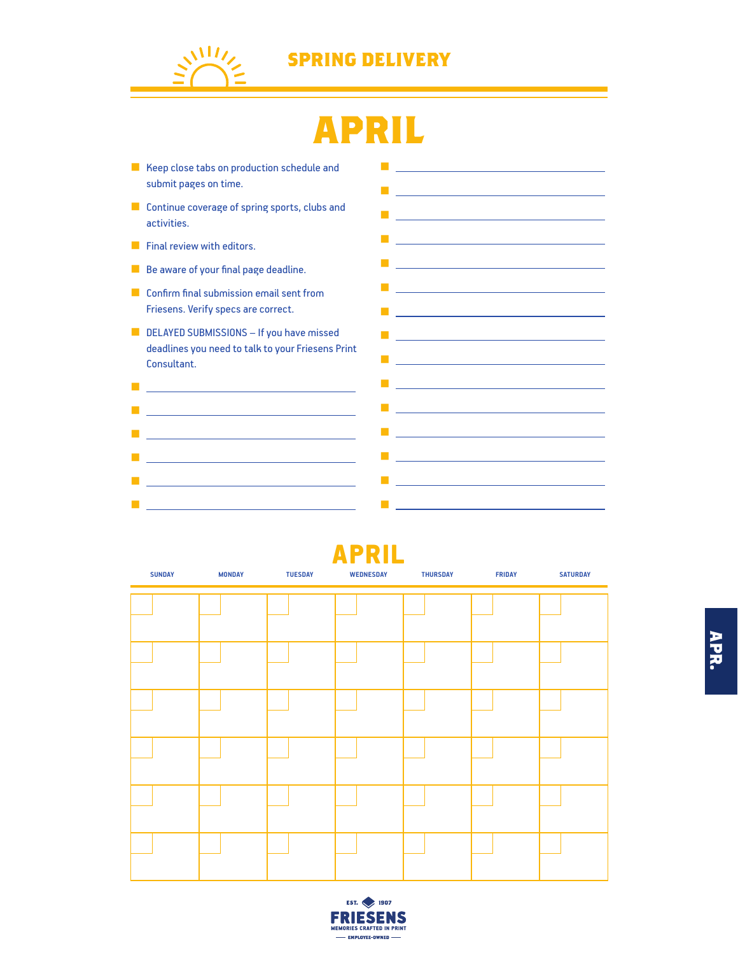

## **APRIL**

■ Keep close tabs on production schedule and submit pages on time. ■ Continue coverage of spring sports, clubs and activities. ■ Final review with editors. ■ Be aware of your final page deadline. ■ Confirm final submission email sent from Friesens. Verify specs are correct. ■ DELAYED SUBMISSIONS – If you have missed deadlines you need to talk to your Friesens Print Consultant. ■ Control of the Control of the Control of the Control of the Control of the Control of the Control of the Control of the Control of the Control of the Control of the Control of the Control of the Control of the Control ■ product in the control of the control of the control of the control of the control of ■ ■ ■ Professional Control of Control Control of Control Control of Control Control of ■ <u>Construction of the Construction</u> ■ ■ Professional Control of Control Control of Control Control of Control Control of Control of Control On Control of Control of Control of Control of Control of Control of Control of Control of Control of Control of Contro ■ Professional Control of Control of Control of Control of Control of Control of Control of Control of Control ■ **■ ■ ■ ■ ■ ■ ■ ■ ■** ■ ■ <u>Line State</u> ■ <u>product to the control of</u> the control ■ <u>Construction of the Construction</u> ■ product in the control of the control of the control of the control of the control of ■ <u>Contract Contract Contract Contract</u> ■ Professional District District District District District **■ product the control of the control of the control** ■ <u>production and the control of</u> the control of ■ Professional Control of Control of Control of Control of Control of Control of Control of Control of Control of Control of Control of Control of Control of Control of Control of Control of Control of Control of Control ■ <u>Little Co</u>rporation





**APR.**

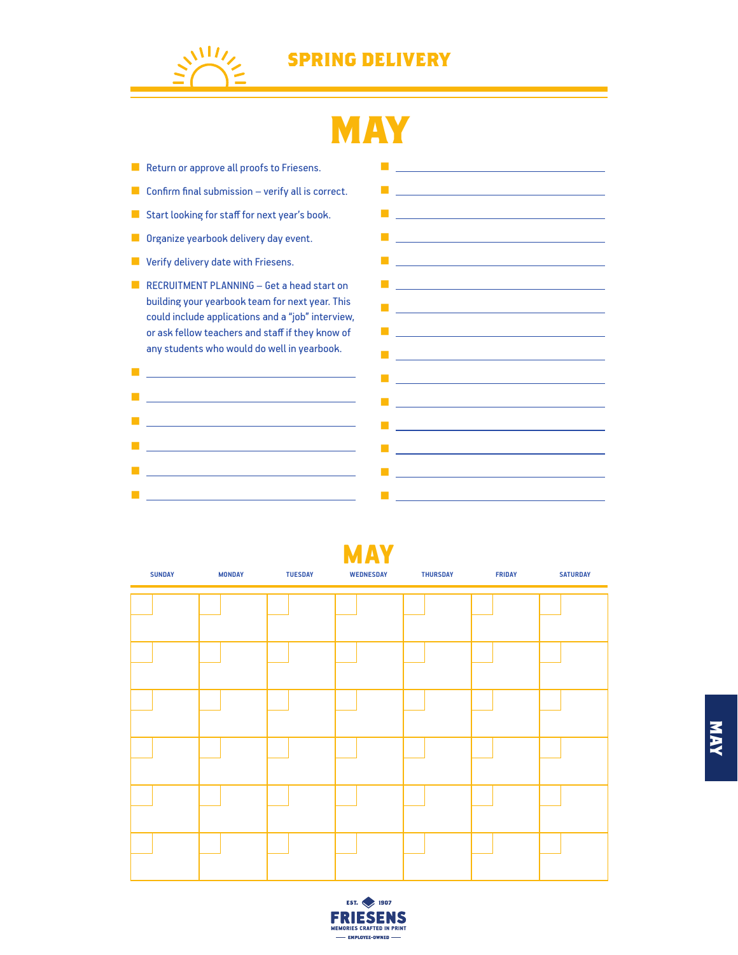

## **MAY**

■ Return or approve all proofs to Friesens.  $\blacksquare$  Confirm final submission – verify all is correct. ■ Start looking for staff for next year's book. ■ Organize yearbook delivery day event. ■ Verify delivery date with Friesens. ■ RECRUITMENT PLANNING – Get a head start on building your yearbook team for next year. This could include applications and a "job" interview, or ask fellow teachers and staff if they know of any students who would do well in yearbook. ■ <u>■ production and product and product</u> ■ ■ Professional Control of Control Control of Control Control of Control Control of Control of Control of Control of ■ Professional Control of Control Control of Control Control of Control Control of Control of Control On Control of Control of Control of Control of Control of Control of Control of Control of Control of Control of Contro ■ <u>Construction of the Construction of</u> the Construction ■ ■ <u>Controller Controller</u> (Controller Controller) **■ Linux and Linux and Linux** ■ <u>product</u> to the control of the control of the control of the control of the control of the control of the control of the control of the control of the control of the control of the control of the control of the contro ■ <u>Control Control Control Control</u> Control ■ <u>Construction of the Construction of</u> <u>■ production and product</u> ■ Professional District District District District District ■ ■ Professional Control of Control Control of Control Control of Control Control of Control of Control of Control of Control of Control of Control of Control of Control of Control of Control of Control of Control of Contro ■ Professional Control of Control Control of Control Control of Control Control of Control of Control of Control of Control of Control of Control of Control of Control of Control of Control of Control of Control of Contro ■ <u>production and the control of</u> the control of the control of the control of the control of the control of the control of the control of the control of the control of the control of the control of the control of the co ■ Control <u>Control Control Control Control</u> ■ ■ <u>Construction of the Construction</u>

| <b>SUNDAY</b> | <b>MONDAY</b> | <b>TUESDAY</b> | MAY<br><b>WEDNESDAY</b> | <b>THURSDAY</b> | <b>FRIDAY</b> | <b>SATURDAY</b> |
|---------------|---------------|----------------|-------------------------|-----------------|---------------|-----------------|
|               |               |                |                         |                 |               |                 |
|               |               |                |                         |                 |               |                 |
|               |               |                |                         |                 |               |                 |
|               |               |                |                         |                 |               |                 |
|               |               |                |                         |                 |               |                 |
|               |               |                |                         |                 |               |                 |
|               |               |                |                         |                 |               |                 |
|               |               |                |                         |                 |               |                 |
|               |               |                |                         |                 |               |                 |
|               |               |                |                         |                 |               |                 |
|               |               |                |                         |                 |               |                 |
|               |               |                |                         |                 |               |                 |

MAY